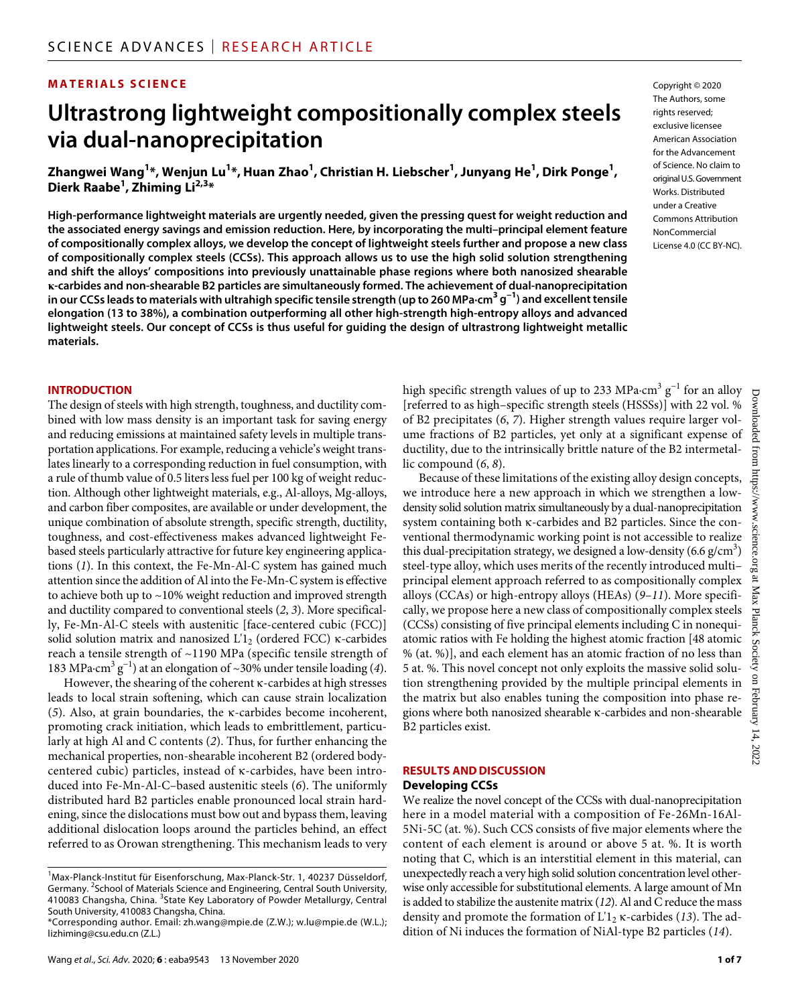#### **MATERIALS SCIENCE**

## **Ultrastrong lightweight compositionally complex steels via dual-nanoprecipitation**

**Zhangwei Wang1 \*, Wenjun Lu1 \*, Huan Zhao1 , Christian H. Liebscher1 , Junyang He1 , Dirk Ponge1 , Dierk Raabe1 , Zhiming Li2,3 \***

**High-performance lightweight materials are urgently needed, given the pressing quest for weight reduction and the associated energy savings and emission reduction. Here, by incorporating the multi–principal element feature of compositionally complex alloys, we develop the concept of lightweight steels further and propose a new class of compositionally complex steels (CCSs). This approach allows us to use the high solid solution strengthening and shift the alloys' compositions into previously unattainable phase regions where both nanosized shearable -carbides and non-shearable B2 particles are simultaneously formed. The achievement of dual-nanoprecipitation in our CCSs leads to materials with ultrahigh specific tensile strength (up to 260 MPa·cm<sup>3</sup> g−1) and excellent tensile elongation (13 to 38%), a combination outperforming all other high-strength high-entropy alloys and advanced lightweight steels. Our concept of CCSs is thus useful for guiding the design of ultrastrong lightweight metallic materials.**

**INTRODUCTION**

The design of steels with high strength, toughness, and ductility combined with low mass density is an important task for saving energy and reducing emissions at maintained safety levels in multiple transportation applications. For example, reducing a vehicle's weight translates linearly to a corresponding reduction in fuel consumption, with a rule of thumb value of 0.5 liters less fuel per 100 kg of weight reduction. Although other lightweight materials, e.g., Al-alloys, Mg-alloys, and carbon fiber composites, are available or under development, the unique combination of absolute strength, specific strength, ductility, toughness, and cost-effectiveness makes advanced lightweight Febased steels particularly attractive for future key engineering applications (*1*). In this context, the Fe-Mn-Al-C system has gained much attention since the addition of Al into the Fe-Mn-C system is effective to achieve both up to ~10% weight reduction and improved strength and ductility compared to conventional steels (*2*, *3*). More specifically, Fe-Mn-Al-C steels with austenitic [face-centered cubic (FCC)] solid solution matrix and nanosized  $L'1<sub>2</sub>$  (ordered FCC)  $\kappa$ -carbides reach a tensile strength of ~1190 MPa (specific tensile strength of 183 MPa·cm<sup>3</sup>  $g^{-1}$ ) at an elongation of ~30% under tensile loading (4).

However, the shearing of the coherent  $\kappa$ -carbides at high stresses leads to local strain softening, which can cause strain localization  $(5)$ . Also, at grain boundaries, the  $\kappa$ -carbides become incoherent, promoting crack initiation, which leads to embrittlement, particularly at high Al and C contents (*2*). Thus, for further enhancing the mechanical properties, non-shearable incoherent B2 (ordered bodycentered cubic) particles, instead of  $\kappa$ -carbides, have been introduced into Fe-Mn-Al-C–based austenitic steels (*6*). The uniformly distributed hard B2 particles enable pronounced local strain hardening, since the dislocations must bow out and bypass them, leaving additional dislocation loops around the particles behind, an effect referred to as Orowan strengthening. This mechanism leads to very

Copyright © 2020 The Authors, some rights reserved: exclusive licensee American Association for the Advancement of Science. No claim to original U.S.Government Works. Distributed under a Creative Commons Attribution **NonCommercial** License 4.0 (CC BY-NC).

high specific strength values of up to 233 MPa·cm $^3$  g $^{\rm -1}$  for an alloy [referred to as high–specific strength steels (HSSSs)] with 22 vol. % of B2 precipitates (*6*, *7*). Higher strength values require larger volume fractions of B2 particles, yet only at a significant expense of ductility, due to the intrinsically brittle nature of the B2 intermetallic compound (*6*, *8*).

Because of these limitations of the existing alloy design concepts, we introduce here a new approach in which we strengthen a lowdensity solid solution matrix simultaneously by a dual-nanoprecipitation system containing both  $\kappa$ -carbides and B2 particles. Since the conventional thermodynamic working point is not accessible to realize this dual-precipitation strategy, we designed a low-density  $(6.6 \text{ g/cm}^3)$ steel-type alloy, which uses merits of the recently introduced multi– principal element approach referred to as compositionally complex alloys (CCAs) or high-entropy alloys (HEAs) (*9*–*11*). More specifically, we propose here a new class of compositionally complex steels (CCSs) consisting of five principal elements including C in nonequiatomic ratios with Fe holding the highest atomic fraction [48 atomic % (at. %)], and each element has an atomic fraction of no less than 5 at. %. This novel concept not only exploits the massive solid solution strengthening provided by the multiple principal elements in the matrix but also enables tuning the composition into phase regions where both nanosized shearable  $\kappa$ -carbides and non-shearable B2 particles exist.

## **RESULTS AND DISCUSSION**

#### **Developing CCSs**

We realize the novel concept of the CCSs with dual-nanoprecipitation here in a model material with a composition of Fe-26Mn-16Al-5Ni-5C (at. %). Such CCS consists of five major elements where the content of each element is around or above 5 at. %. It is worth noting that C, which is an interstitial element in this material, can unexpectedly reach a very high solid solution concentration level otherwise only accessible for substitutional elements. A large amount of Mn is added to stabilize the austenite matrix (*12*). Al and C reduce the mass density and promote the formation of  $L'1<sub>2</sub>$   $\kappa$ -carbides (13). The addition of Ni induces the formation of NiAl-type B2 particles (*14*).

<sup>&</sup>lt;sup>1</sup>Max-Planck-Institut für Eisenforschung, Max-Planck-Str. 1, 40237 Düsseldorf, Germany. <sup>2</sup> School of Materials Science and Engineering, Central South University, 410083 Changsha, China. <sup>3</sup>State Key Laboratory of Powder Metallurgy, Central South University, 410083 Changsha, China.

<sup>\*</sup>Corresponding author. Email: zh.wang@mpie.de (Z.W.); w.lu@mpie.de (W.L.); lizhiming@csu.edu.cn (Z.L.)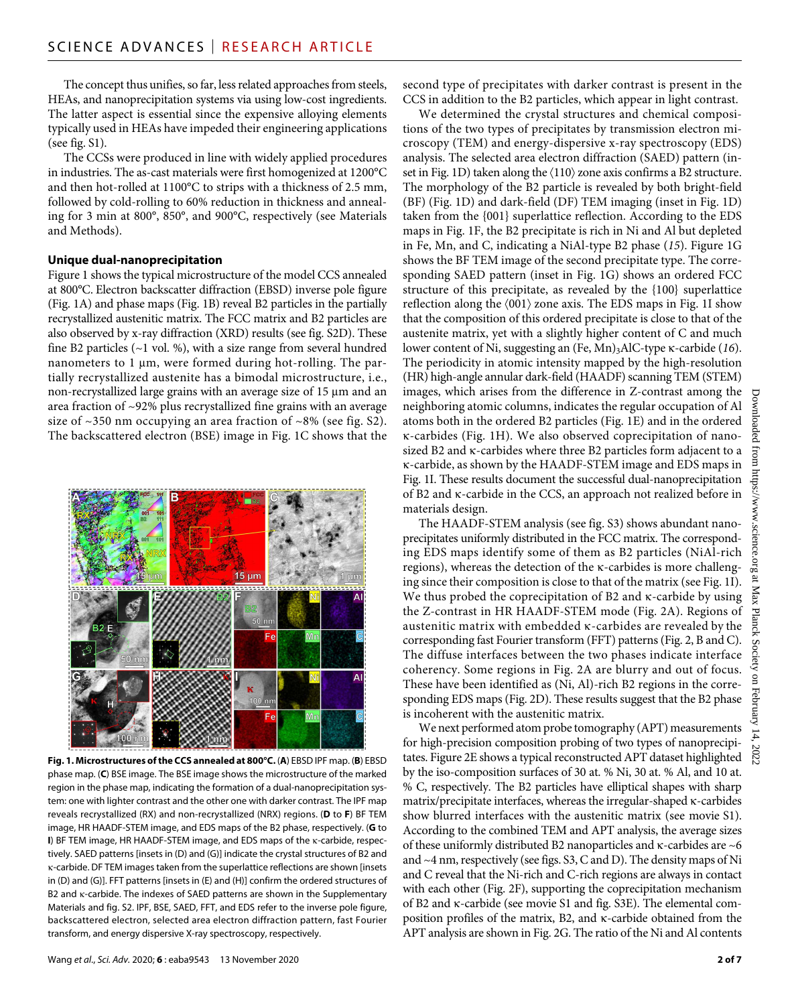The concept thus unifies, so far, less related approaches from steels, HEAs, and nanoprecipitation systems via using low-cost ingredients. The latter aspect is essential since the expensive alloying elements typically used in HEAs have impeded their engineering applications (see fig. S1).

The CCSs were produced in line with widely applied procedures in industries. The as-cast materials were first homogenized at 1200°C and then hot-rolled at 1100°C to strips with a thickness of 2.5 mm, followed by cold-rolling to 60% reduction in thickness and annealing for 3 min at 800°, 850°, and 900°C, respectively (see Materials and Methods).

#### **Unique dual-nanoprecipitation**

Figure 1 shows the typical microstructure of the model CCS annealed at 800°C. Electron backscatter diffraction (EBSD) inverse pole figure (Fig. 1A) and phase maps (Fig. 1B) reveal B2 particles in the partially recrystallized austenitic matrix. The FCC matrix and B2 particles are also observed by x-ray diffraction (XRD) results (see fig. S2D). These fine B2 particles  $(-1 \text{ vol. } %)$ , with a size range from several hundred nanometers to  $1 \mu m$ , were formed during hot-rolling. The partially recrystallized austenite has a bimodal microstructure, i.e., non-recrystallized large grains with an average size of  $15 \mu m$  and an area fraction of ~92% plus recrystallized fine grains with an average size of  $\sim$ 350 nm occupying an area fraction of  $\sim$ 8% (see fig. S2). The backscattered electron (BSE) image in Fig. 1C shows that the



**Fig. 1. Microstructures of the CCS annealed at 800°C.** (**A**) EBSD IPF map. (**B**) EBSD phase map. (**C**) BSE image. The BSE image shows the microstructure of the marked region in the phase map, indicating the formation of a dual-nanoprecipitation system: one with lighter contrast and the other one with darker contrast. The IPF map reveals recrystallized (RX) and non-recrystallized (NRX) regions. (**D** to **F**) BF TEM image, HR HAADF-STEM image, and EDS maps of the B2 phase, respectively. (**G** to **I**) BF TEM image, HR HAADF-STEM image, and EDS maps of the *k*-carbide, respectively. SAED patterns [insets in (D) and (G)] indicate the crystal structures of B2 and -carbide. DF TEM images taken from the superlattice reflections are shown [insets in (D) and (G)]. FFT patterns [insets in (E) and (H)] confirm the ordered structures of B2 and  $\kappa$ -carbide. The indexes of SAED patterns are shown in the Supplementary Materials and fig. S2. IPF, BSE, SAED, FFT, and EDS refer to the inverse pole figure, backscattered electron, selected area electron diffraction pattern, fast Fourier transform, and energy dispersive X-ray spectroscopy, respectively.

second type of precipitates with darker contrast is present in the CCS in addition to the B2 particles, which appear in light contrast.

We determined the crystal structures and chemical compositions of the two types of precipitates by transmission electron microscopy (TEM) and energy-dispersive x-ray spectroscopy (EDS) analysis. The selected area electron diffraction (SAED) pattern (inset in Fig. 1D) taken along the 〈110〉 zone axis confirms a B2 structure. The morphology of the B2 particle is revealed by both bright-field (BF) (Fig. 1D) and dark-field (DF) TEM imaging (inset in Fig. 1D) taken from the {001} superlattice reflection. According to the EDS maps in Fig. 1F, the B2 precipitate is rich in Ni and Al but depleted in Fe, Mn, and C, indicating a NiAl-type B2 phase (*15*). Figure 1G shows the BF TEM image of the second precipitate type. The corresponding SAED pattern (inset in Fig. 1G) shows an ordered FCC structure of this precipitate, as revealed by the {100} superlattice reflection along the  $\langle 001 \rangle$  zone axis. The EDS maps in Fig. 1I show that the composition of this ordered precipitate is close to that of the austenite matrix, yet with a slightly higher content of C and much lower content of Ni, suggesting an (Fe, Mn)<sub>3</sub>AlC-type  $\kappa$ -carbide (16). The periodicity in atomic intensity mapped by the high-resolution (HR) high-angle annular dark-field (HAADF) scanning TEM (STEM) images, which arises from the difference in Z-contrast among the neighboring atomic columns, indicates the regular occupation of Al atoms both in the ordered B2 particles (Fig. 1E) and in the ordered -carbides (Fig. 1H). We also observed coprecipitation of nanosized B2 and  $\kappa$ -carbides where three B2 particles form adjacent to a -carbide, as shown by the HAADF-STEM image and EDS maps in Fig. 1I. These results document the successful dual-nanoprecipitation of B2 and  $\kappa$ -carbide in the CCS, an approach not realized before in materials design.

The HAADF-STEM analysis (see fig. S3) shows abundant nanoprecipitates uniformly distributed in the FCC matrix. The corresponding EDS maps identify some of them as B2 particles (NiAl-rich regions), whereas the detection of the  $\kappa$ -carbides is more challenging since their composition is close to that of the matrix (see Fig. 1I). We thus probed the coprecipitation of B2 and  $\kappa$ -carbide by using the Z-contrast in HR HAADF-STEM mode (Fig. 2A). Regions of austenitic matrix with embedded  $\kappa$ -carbides are revealed by the corresponding fast Fourier transform (FFT) patterns (Fig. 2, B and C). The diffuse interfaces between the two phases indicate interface coherency. Some regions in Fig. 2A are blurry and out of focus. These have been identified as (Ni, Al)-rich B2 regions in the corresponding EDS maps (Fig. 2D). These results suggest that the B2 phase is incoherent with the austenitic matrix.

We next performed atom probe tomography (APT) measurements for high-precision composition probing of two types of nanoprecipitates. Figure 2E shows a typical reconstructed APT dataset highlighted by the iso-composition surfaces of 30 at. % Ni, 30 at. % Al, and 10 at. % C, respectively. The B2 particles have elliptical shapes with sharp matrix/precipitate interfaces, whereas the irregular-shaped  $\kappa$ -carbides show blurred interfaces with the austenitic matrix (see movie S1). According to the combined TEM and APT analysis, the average sizes of these uniformly distributed B2 nanoparticles and  $\kappa$ -carbides are ~6 and ~4 nm, respectively (see figs. S3, C and D). The density maps of Ni and C reveal that the Ni-rich and C-rich regions are always in contact with each other (Fig. 2F), supporting the coprecipitation mechanism of B2 and  $\kappa$ -carbide (see movie S1 and fig. S3E). The elemental composition profiles of the matrix, B2, and  $\kappa$ -carbide obtained from the APT analysis are shown in Fig. 2G. The ratio of the Ni and Al contents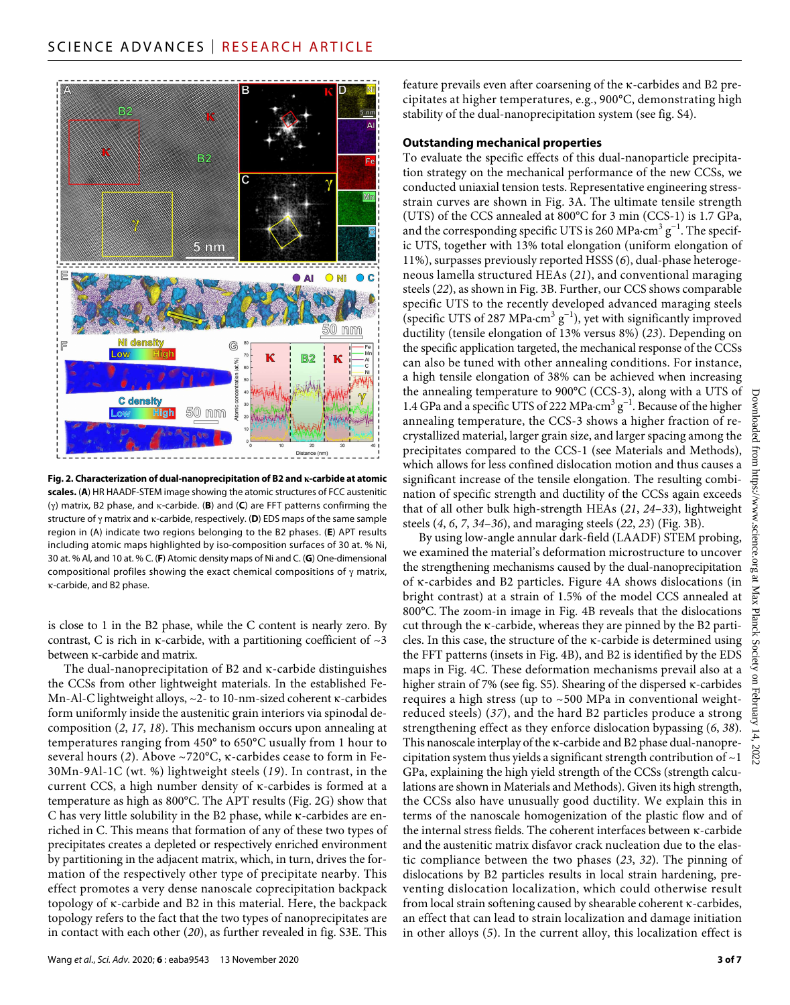

**Fig. 2. Characterization of dual-nanoprecipitation of B2 and -carbide at atomic scales.** (**A**) HR HAADF-STEM image showing the atomic structures of FCC austenitic ( $\gamma$ ) matrix, B2 phase, and  $\kappa$ -carbide. (**B**) and (**C**) are FFT patterns confirming the structure of  $\gamma$  matrix and  $\kappa$ -carbide, respectively. (D) EDS maps of the same sample region in (A) indicate two regions belonging to the B2 phases. (**E**) APT results including atomic maps highlighted by iso-composition surfaces of 30 at. % Ni, 30 at. % Al, and 10 at. % C. (**F**) Atomic density maps of Ni and C. (**G**) One-dimensional compositional profiles showing the exact chemical compositions of  $\gamma$  matrix, -carbide, and B2 phase.

is close to 1 in the B2 phase, while the C content is nearly zero. By contrast, C is rich in  $\kappa$ -carbide, with a partitioning coefficient of  $\sim$ 3 between  $\kappa$ -carbide and matrix.

The dual-nanoprecipitation of B2 and  $\kappa$ -carbide distinguishes the CCSs from other lightweight materials. In the established Fe-Mn-Al-C lightweight alloys,  $\sim$  2- to 10-nm-sized coherent  $\kappa$ -carbides form uniformly inside the austenitic grain interiors via spinodal decomposition (*2*, *17*, *18*). This mechanism occurs upon annealing at temperatures ranging from 450° to 650°C usually from 1 hour to several hours (2). Above ~720°C,  $\kappa$ -carbides cease to form in Fe-30Mn-9Al-1C (wt. %) lightweight steels (*19*). In contrast, in the current CCS, a high number density of  $\kappa$ -carbides is formed at a temperature as high as 800°C. The APT results (Fig. 2G) show that C has very little solubility in the B2 phase, while  $\kappa$ -carbides are enriched in C. This means that formation of any of these two types of precipitates creates a depleted or respectively enriched environment by partitioning in the adjacent matrix, which, in turn, drives the formation of the respectively other type of precipitate nearby. This effect promotes a very dense nanoscale coprecipitation backpack topology of  $\kappa$ -carbide and B2 in this material. Here, the backpack topology refers to the fact that the two types of nanoprecipitates are in contact with each other (*20*), as further revealed in fig. S3E. This

Wang *et al*., *Sci. Adv.* 2020; **6** : eaba9543 13 November 2020

feature prevails even after coarsening of the  $\kappa$ -carbides and B2 precipitates at higher temperatures, e.g., 900°C, demonstrating high stability of the dual-nanoprecipitation system (see fig. S4).

#### **Outstanding mechanical properties**

To evaluate the specific effects of this dual-nanoparticle precipitation strategy on the mechanical performance of the new CCSs, we conducted uniaxial tension tests. Representative engineering stressstrain curves are shown in Fig. 3A. The ultimate tensile strength (UTS) of the CCS annealed at 800°C for 3 min (CCS-1) is 1.7 GPa, and the corresponding specific UTS is 260 MPa·cm<sup>3</sup> g<sup>-1</sup>. The specific UTS, together with 13% total elongation (uniform elongation of 11%), surpasses previously reported HSSS (*6*), dual-phase heterogeneous lamella structured HEAs (*21*), and conventional maraging steels (*22*), as shown in Fig. 3B. Further, our CCS shows comparable specific UTS to the recently developed advanced maraging steels (specific UTS of 287 MPa·cm<sup>3</sup>  $g^{-1}$ ), yet with significantly improved ductility (tensile elongation of 13% versus 8%) (*23*). Depending on the specific application targeted, the mechanical response of the CCSs can also be tuned with other annealing conditions. For instance, a high tensile elongation of 38% can be achieved when increasing the annealing temperature to 900°C (CCS-3), along with a UTS of 1.4 GPa and a specific UTS of 222 MPa·cm<sup>3</sup>  $g^{-1}$ . Because of the higher annealing temperature, the CCS-3 shows a higher fraction of recrystallized material, larger grain size, and larger spacing among the precipitates compared to the CCS-1 (see Materials and Methods), which allows for less confined dislocation motion and thus causes a significant increase of the tensile elongation. The resulting combination of specific strength and ductility of the CCSs again exceeds that of all other bulk high-strength HEAs (*21*, *24*–*33*), lightweight steels (*4*, *6*, *7*, *34*–*36*), and maraging steels (*22*, *23*) (Fig. 3B).

By using low-angle annular dark-field (LAADF) STEM probing, we examined the material's deformation microstructure to uncover the strengthening mechanisms caused by the dual-nanoprecipitation of  $\kappa$ -carbides and B2 particles. Figure 4A shows dislocations (in bright contrast) at a strain of 1.5% of the model CCS annealed at 800°C. The zoom-in image in Fig. 4B reveals that the dislocations cut through the  $\kappa$ -carbide, whereas they are pinned by the B2 particles. In this case, the structure of the  $\kappa$ -carbide is determined using the FFT patterns (insets in Fig. 4B), and B2 is identified by the EDS maps in Fig. 4C. These deformation mechanisms prevail also at a higher strain of 7% (see fig. S5). Shearing of the dispersed  $\kappa$ -carbides requires a high stress (up to ~500 MPa in conventional weightreduced steels) (*37*), and the hard B2 particles produce a strong strengthening effect as they enforce dislocation bypassing (*6*, *38*). This nanoscale interplay of the  $\kappa$ -carbide and B2 phase dual-nanoprecipitation system thus yields a significant strength contribution of  $\sim$  1 GPa, explaining the high yield strength of the CCSs (strength calculations are shown in Materials and Methods). Given its high strength, the CCSs also have unusually good ductility. We explain this in terms of the nanoscale homogenization of the plastic flow and of the internal stress fields. The coherent interfaces between  $\kappa$ -carbide and the austenitic matrix disfavor crack nucleation due to the elastic compliance between the two phases (*23*, *32*). The pinning of dislocations by B2 particles results in local strain hardening, preventing dislocation localization, which could otherwise result from local strain softening caused by shearable coherent  $\kappa$ -carbides, an effect that can lead to strain localization and damage initiation in other alloys (*5*). In the current alloy, this localization effect is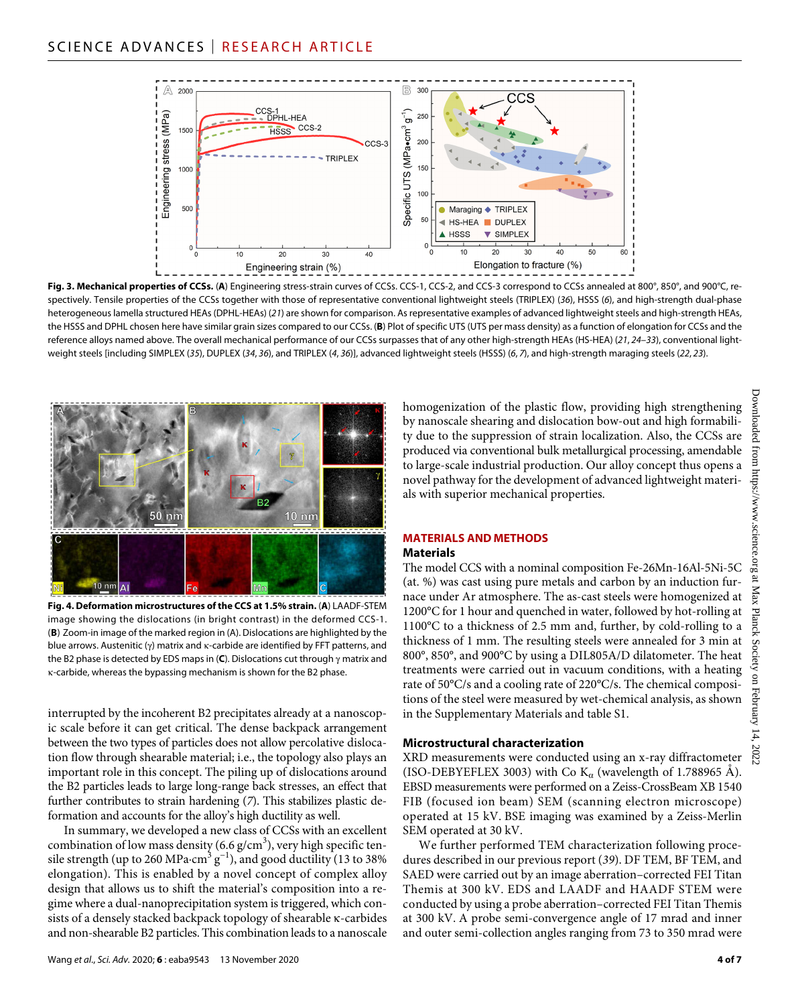

**Fig. 3. Mechanical properties of CCSs.** (**A**) Engineering stress-strain curves of CCSs. CCS-1, CCS-2, and CCS-3 correspond to CCSs annealed at 800°, 850°, and 900°C, respectively. Tensile properties of the CCSs together with those of representative conventional lightweight steels (TRIPLEX) (*36*), HSSS (*6*), and high-strength dual-phase heterogeneous lamella structured HEAs (DPHL-HEAs) (*21*) are shown for comparison. As representative examples of advanced lightweight steels and high-strength HEAs, the HSSS and DPHL chosen here have similar grain sizes compared to our CCSs. (**B**) Plot of specific UTS (UTS per mass density) as a function of elongation for CCSs and the reference alloys named above. The overall mechanical performance of our CCSs surpasses that of any other high-strength HEAs (HS-HEA) (*21*, *24*–*33*), conventional lightweight steels [including SIMPLEX (35), DUPLEX (34, 36), and TRIPLEX (4, 36)], advanced lightweight steels (HSSS) (6, 7), and high-strength maraging steels (22, 23).



**Fig. 4. Deformation microstructures of the CCS at 1.5% strain.** (**A**) LAADF-STEM image showing the dislocations (in bright contrast) in the deformed CCS-1. (**B**) Zoom-in image of the marked region in (A). Dislocations are highlighted by the blue arrows. Austenitic ( $\gamma$ ) matrix and  $\kappa$ -carbide are identified by FFT patterns, and the B2 phase is detected by EDS maps in  $(C)$ . Dislocations cut through  $\gamma$  matrix and -carbide, whereas the bypassing mechanism is shown for the B2 phase.

interrupted by the incoherent B2 precipitates already at a nanoscopic scale before it can get critical. The dense backpack arrangement between the two types of particles does not allow percolative dislocation flow through shearable material; i.e., the topology also plays an important role in this concept. The piling up of dislocations around the B2 particles leads to large long-range back stresses, an effect that further contributes to strain hardening (*7*). This stabilizes plastic deformation and accounts for the alloy's high ductility as well.

In summary, we developed a new class of CCSs with an excellent combination of low mass density (6.6 g/cm<sup>3</sup>), very high specific tensile strength (up to 260 MPa·cm $^3$  g<sup>−1</sup>), and good ductility (13 to 38% elongation). This is enabled by a novel concept of complex alloy design that allows us to shift the material's composition into a regime where a dual-nanoprecipitation system is triggered, which consists of a densely stacked backpack topology of shearable  $\kappa$ -carbides and non-shearable B2 particles. This combination leads to a nanoscale

homogenization of the plastic flow, providing high strengthening by nanoscale shearing and dislocation bow-out and high formability due to the suppression of strain localization. Also, the CCSs are produced via conventional bulk metallurgical processing, amendable to large-scale industrial production. Our alloy concept thus opens a novel pathway for the development of advanced lightweight materials with superior mechanical properties.

## **MATERIALS AND METHODS**

#### **Materials**

The model CCS with a nominal composition Fe-26Mn-16Al-5Ni-5C (at. %) was cast using pure metals and carbon by an induction furnace under Ar atmosphere. The as-cast steels were homogenized at 1200°C for 1 hour and quenched in water, followed by hot-rolling at 1100°C to a thickness of 2.5 mm and, further, by cold-rolling to a thickness of 1 mm. The resulting steels were annealed for 3 min at 800°, 850°, and 900°C by using a DIL805A/D dilatometer. The heat treatments were carried out in vacuum conditions, with a heating rate of 50°C/s and a cooling rate of 220°C/s. The chemical compositions of the steel were measured by wet-chemical analysis, as shown in the Supplementary Materials and table S1.

#### **Microstructural characterization**

XRD measurements were conducted using an x-ray diffractometer (ISO-DEBYEFLEX 3003) with Co K<sub>a</sub> (wavelength of 1.788965 Å). EBSD measurements were performed on a Zeiss-CrossBeam XB 1540 FIB (focused ion beam) SEM (scanning electron microscope) operated at 15 kV. BSE imaging was examined by a Zeiss-Merlin SEM operated at 30 kV.

We further performed TEM characterization following procedures described in our previous report (*39*). DF TEM, BF TEM, and SAED were carried out by an image aberration–corrected FEI Titan Themis at 300 kV. EDS and LAADF and HAADF STEM were conducted by using a probe aberration–corrected FEI Titan Themis at 300 kV. A probe semi-convergence angle of 17 mrad and inner and outer semi-collection angles ranging from 73 to 350 mrad were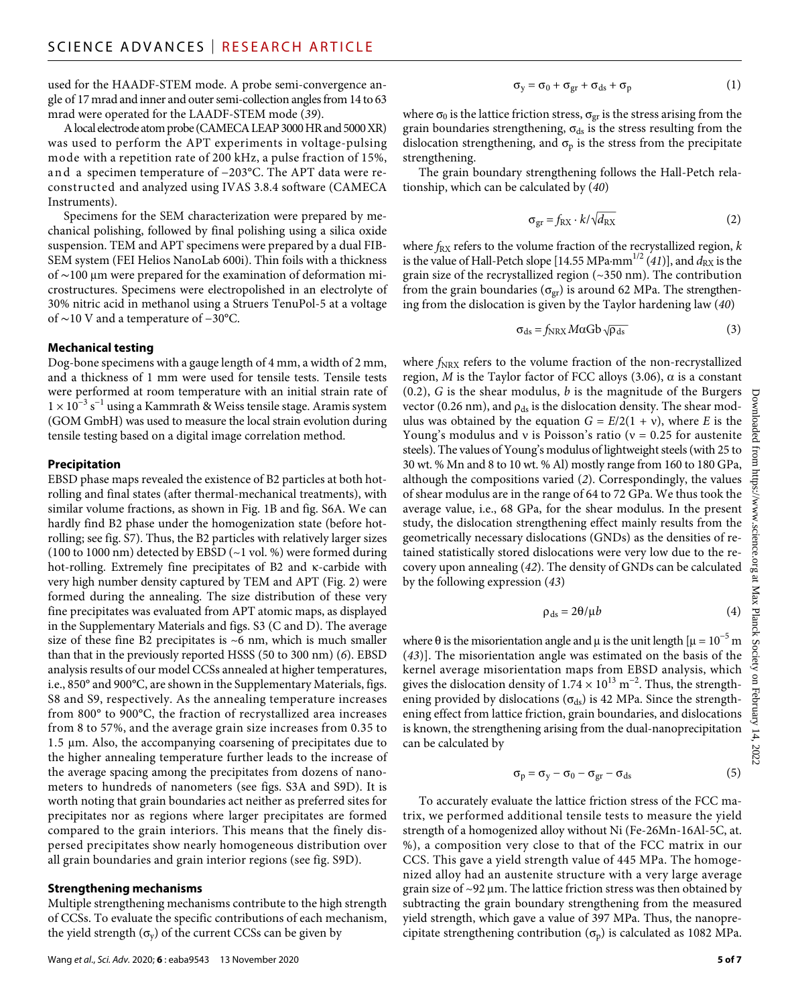used for the HAADF-STEM mode. A probe semi-convergence angle of 17 mrad and inner and outer semi-collection angles from 14 to 63 mrad were operated for the LAADF-STEM mode (*39*).

A local electrode atom probe (CAMECA LEAP 3000 HR and 5000 XR) was used to perform the APT experiments in voltage-pulsing mode with a repetition rate of 200 kHz, a pulse fraction of 15%, and a specimen temperature of −203°C. The APT data were reconstructed and analyzed using IVAS 3.8.4 software (CAMECA Instruments).

Specimens for the SEM characterization were prepared by mechanical polishing, followed by final polishing using a silica oxide suspension. TEM and APT specimens were prepared by a dual FIB-SEM system (FEI Helios NanoLab 600i). Thin foils with a thickness of ~100 μm were prepared for the examination of deformation microstructures. Specimens were electropolished in an electrolyte of 30% nitric acid in methanol using a Struers TenuPol-5 at a voltage of ∼10 V and a temperature of −30°C.

#### **Mechanical testing**

Dog-bone specimens with a gauge length of 4 mm, a width of 2 mm, and a thickness of 1 mm were used for tensile tests. Tensile tests were performed at room temperature with an initial strain rate of 1 × 10−3 s−1 using a Kammrath & Weiss tensile stage. Aramis system (GOM GmbH) was used to measure the local strain evolution during tensile testing based on a digital image correlation method.

#### **Precipitation**

EBSD phase maps revealed the existence of B2 particles at both hotrolling and final states (after thermal-mechanical treatments), with similar volume fractions, as shown in Fig. 1B and fig. S6A. We can hardly find B2 phase under the homogenization state (before hotrolling; see fig. S7). Thus, the B2 particles with relatively larger sizes (100 to 1000 nm) detected by EBSD (~1 vol. %) were formed during hot-rolling. Extremely fine precipitates of B2 and  $\kappa$ -carbide with very high number density captured by TEM and APT (Fig. 2) were formed during the annealing. The size distribution of these very fine precipitates was evaluated from APT atomic maps, as displayed in the Supplementary Materials and figs. S3 (C and D). The average size of these fine B2 precipitates is  $~6$  nm, which is much smaller than that in the previously reported HSSS (50 to 300 nm) (*6*). EBSD analysis results of our model CCSs annealed at higher temperatures, i.e., 850° and 900°C, are shown in the Supplementary Materials, figs. S8 and S9, respectively. As the annealing temperature increases from 800° to 900°C, the fraction of recrystallized area increases from 8 to 57%, and the average grain size increases from 0.35 to  $1.5 \mu$ m. Also, the accompanying coarsening of precipitates due to the higher annealing temperature further leads to the increase of the average spacing among the precipitates from dozens of nanometers to hundreds of nanometers (see figs. S3A and S9D). It is worth noting that grain boundaries act neither as preferred sites for precipitates nor as regions where larger precipitates are formed compared to the grain interiors. This means that the finely dispersed precipitates show nearly homogeneous distribution over all grain boundaries and grain interior regions (see fig. S9D).

#### **Strengthening mechanisms**

Multiple strengthening mechanisms contribute to the high strength of CCSs. To evaluate the specific contributions of each mechanism, the yield strength  $(\sigma_y)$  of the current CCSs can be given by

$$
\sigma_y = \sigma_0 + \sigma_{gr} + \sigma_{ds} + \sigma_p \tag{1}
$$

where  $\sigma_0$  is the lattice friction stress,  $\sigma_{gr}$  is the stress arising from the grain boundaries strengthening,  $\sigma_{ds}$  is the stress resulting from the dislocation strengthening, and  $\sigma_p$  is the stress from the precipitate strengthening.

The grain boundary strengthening follows the Hall-Petch relationship, which can be calculated by (40)<br> $\sigma_{or} = f_{\rm RX} \cdot k / \sqrt{d_{\rm RX}}$ 

$$
\sigma_{\rm gr} = f_{\rm RX} \cdot k / \sqrt{d_{\rm RX}} \tag{2}
$$

where  $f_{\text{RX}}$  refers to the volume fraction of the recrystallized region, *k* is the value of Hall-Petch slope [14.55 MPa⋅mm<sup>1/2</sup> (41)], and  $d_{\rm RX}$  is the grain size of the recrystallized region (~350 nm). The contribution from the grain boundaries ( $\sigma_{gr}$ ) is around 62 MPa. The strengthening from the dislocation is given by the Taylor hardening law (40)<br>  $\sigma_{\rm ds} = f_{\rm NRX} M a {\rm Gb} \sqrt{\rho_{\rm ds}} \eqno(3)$ 

$$
\sigma_{ds} = f_{NRX} M\alpha Gb \sqrt{\rho_{ds}}
$$
 (3)

where *f*<sub>NRX</sub> refers to the volume fraction of the non-recrystallized region,  $M$  is the Taylor factor of FCC alloys (3.06),  $\alpha$  is a constant (0.2), *G* is the shear modulus, *b* is the magnitude of the Burgers vector (0.26 nm), and  $\rho_{ds}$  is the dislocation density. The shear modulus was obtained by the equation  $G = E/2(1 + v)$ , where *E* is the Young's modulus and  $\nu$  is Poisson's ratio ( $\nu = 0.25$  for austenite steels). The values of Young's modulus of lightweight steels (with 25 to 30 wt. % Mn and 8 to 10 wt. % Al) mostly range from 160 to 180 GPa, although the compositions varied (*2*). Correspondingly, the values of shear modulus are in the range of 64 to 72 GPa. We thus took the average value, i.e., 68 GPa, for the shear modulus. In the present study, the dislocation strengthening effect mainly results from the geometrically necessary dislocations (GNDs) as the densities of retained statistically stored dislocations were very low due to the recovery upon annealing (*42*). The density of GNDs can be calculated by the following expression (*43*)

$$
\rho_{ds} = 2\theta/\mu b \tag{4}
$$

where  $\theta$  is the misorientation angle and  $\mu$  is the unit length [ $\mu = 10^{-5}$  m (*43*)]. The misorientation angle was estimated on the basis of the kernel average misorientation maps from EBSD analysis, which gives the dislocation density of  $1.74 \times 10^{13}$  m<sup>-2</sup>. Thus, the strengthening provided by dislocations ( $\sigma_{ds}$ ) is 42 MPa. Since the strengthening effect from lattice friction, grain boundaries, and dislocations is known, the strengthening arising from the dual-nanoprecipitation can be calculated by

$$
\sigma_p = \sigma_y - \sigma_0 - \sigma_{gr} - \sigma_{ds} \tag{5}
$$

To accurately evaluate the lattice friction stress of the FCC matrix, we performed additional tensile tests to measure the yield strength of a homogenized alloy without Ni (Fe-26Mn-16Al-5C, at. %), a composition very close to that of the FCC matrix in our CCS. This gave a yield strength value of 445 MPa. The homogenized alloy had an austenite structure with a very large average grain size of  $\sim$ 92  $\mu$ m. The lattice friction stress was then obtained by subtracting the grain boundary strengthening from the measured yield strength, which gave a value of 397 MPa. Thus, the nanoprecipitate strengthening contribution  $(\sigma_{p})$  is calculated as 1082 MPa.

Downloaded

mon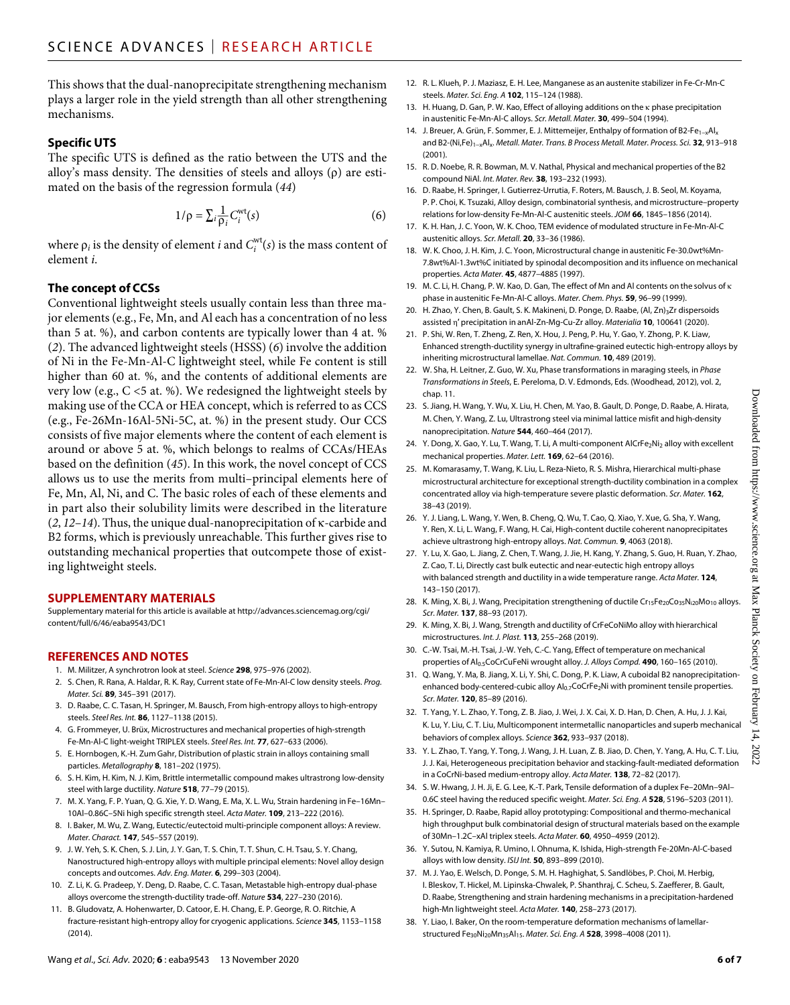This shows that the dual-nanoprecipitate strengthening mechanism plays a larger role in the yield strength than all other strengthening mechanisms.

#### **Specific UTS**

The specific UTS is defined as the ratio between the UTS and the alloy's mass density. The densities of steels and alloys  $(\rho)$  are estimated on the basis of the regression formula (*44*)

$$
1/\rho = \sum_{i} \frac{1}{\rho_i} C_i^{\text{wt}}(s) \tag{6}
$$

where  $\rho_i$  is the density of element *i* and  $C_i^{\text{wt}}(s)$  is the mass content of element *i*.

#### **The concept of CCSs**

Conventional lightweight steels usually contain less than three major elements (e.g., Fe, Mn, and Al each has a concentration of no less than 5 at. %), and carbon contents are typically lower than 4 at. % (*2*). The advanced lightweight steels (HSSS) (*6*) involve the addition of Ni in the Fe-Mn-Al-C lightweight steel, while Fe content is still higher than 60 at. %, and the contents of additional elements are very low (e.g., C <5 at. %). We redesigned the lightweight steels by making use of the CCA or HEA concept, which is referred to as CCS (e.g., Fe-26Mn-16Al-5Ni-5C, at. %) in the present study. Our CCS consists of five major elements where the content of each element is around or above 5 at. %, which belongs to realms of CCAs/HEAs based on the definition (*45*). In this work, the novel concept of CCS allows us to use the merits from multi–principal elements here of Fe, Mn, Al, Ni, and C. The basic roles of each of these elements and in part also their solubility limits were described in the literature  $(2, 12-14)$ . Thus, the unique dual-nanoprecipitation of  $\kappa$ -carbide and B2 forms, which is previously unreachable. This further gives rise to outstanding mechanical properties that outcompete those of existing lightweight steels.

#### **SUPPLEMENTARY MATERIALS**

Supplementary material for this article is available at [http://advances.sciencemag.org/cgi/](http://advances.sciencemag.org/cgi/content/full/6/46/eaba9543/DC1) [content/full/6/46/eaba9543/DC1](http://advances.sciencemag.org/cgi/content/full/6/46/eaba9543/DC1)

#### **REFERENCES AND NOTES**

- 1. M. Militzer, A synchrotron look at steel. *Science* **298**, 975–976 (2002).
- 2. S. Chen, R. Rana, A. Haldar, R. K. Ray, Current state of Fe-Mn-Al-C low density steels. *Prog. Mater. Sci.* **89**, 345–391 (2017).
- 3. D. Raabe, C. C. Tasan, H. Springer, M. Bausch, From high-entropy alloys to high-entropy steels. *Steel Res. Int.* **86**, 1127–1138 (2015).
- 4. G. Frommeyer, U. Brüx, Microstructures and mechanical properties of high-strength Fe-Mn-Al-C light-weight TRIPLEX steels. *Steel Res. Int.* **77**, 627–633 (2006).
- 5. E. Hornbogen, K.-H. Zum Gahr, Distribution of plastic strain in alloys containing small particles. *Metallography* **8**, 181–202 (1975).
- 6. S. H. Kim, H. Kim, N. J. Kim, Brittle intermetallic compound makes ultrastrong low-density steel with large ductility. *Nature* **518**, 77–79 (2015).
- 7. M. X. Yang, F. P. Yuan, Q. G. Xie, Y. D. Wang, E. Ma, X. L. Wu, Strain hardening in Fe–16Mn– 10Al–0.86C–5Ni high specific strength steel. *Acta Mater.* **109**, 213–222 (2016).
- 8. I. Baker, M. Wu, Z. Wang, Eutectic/eutectoid multi-principle component alloys: A review. *Mater. Charact.* **147**, 545–557 (2019).
- 9. J. W. Yeh, S. K. Chen, S. J. Lin, J. Y. Gan, T. S. Chin, T. T. Shun, C. H. Tsau, S. Y. Chang, Nanostructured high-entropy alloys with multiple principal elements: Novel alloy design concepts and outcomes. *Adv. Eng. Mater.* **6**, 299–303 (2004).
- 10. Z. Li, K. G. Pradeep, Y. Deng, D. Raabe, C. C. Tasan, Metastable high-entropy dual-phase alloys overcome the strength-ductility trade-off. *Nature* **534**, 227–230 (2016).
- 11. B. Gludovatz, A. Hohenwarter, D. Catoor, E. H. Chang, E. P. George, R. O. Ritchie, A fracture-resistant high-entropy alloy for cryogenic applications. *Science* **345**, 1153–1158 (2014).
- 12. R. L. Klueh, P. J. Maziasz, E. H. Lee, Manganese as an austenite stabilizer in Fe-Cr-Mn-C steels. *Mater. Sci. Eng. A* **102**, 115–124 (1988).
- 13. H. Huang, D. Gan, P. W. Kao, Effect of alloying additions on the  $\kappa$  phase precipitation in austenitic Fe-Mn-Al-C alloys. *Scr. Metall. Mater.* **30**, 499–504 (1994).
- 14. J. Breuer, A. Grün, F. Sommer, E. J. Mittemeijer, Enthalpy of formation of B2-Fe<sub>1-x</sub>Al<sub>x</sub> and B2-(Ni,Fe)1−xAlx. *Metall. Mater. Trans. B Process Metall. Mater. Process. Sci.* **32**, 913–918 (2001).
- 15. R. D. Noebe, R. R. Bowman, M. V. Nathal, Physical and mechanical properties of the B2 compound NiAl. *Int. Mater. Rev.* **38**, 193–232 (1993).
- 16. D. Raabe, H. Springer, I. Gutierrez-Urrutia, F. Roters, M. Bausch, J. B. Seol, M. Koyama, P. P. Choi, K. Tsuzaki, Alloy design, combinatorial synthesis, and microstructure–property relations for low-density Fe-Mn-Al-C austenitic steels. *JOM* **66**, 1845–1856 (2014).
- 17. K. H. Han, J. C. Yoon, W. K. Choo, TEM evidence of modulated structure in Fe-Mn-Al-C austenitic alloys. *Scr. Metall.* **20**, 33–36 (1986).
- 18. W. K. Choo, J. H. Kim, J. C. Yoon, Microstructural change in austenitic Fe-30.0wt%Mn-7.8wt%Al-1.3wt%C initiated by spinodal decomposition and its influence on mechanical properties. *Acta Mater.* **45**, 4877–4885 (1997).
- 19. M. C. Li, H. Chang, P. W. Kao, D. Gan, The effect of Mn and Al contents on the solvus of  $\kappa$ phase in austenitic Fe-Mn-Al-C alloys. *Mater. Chem. Phys.* **59**, 96–99 (1999).
- 20. H. Zhao, Y. Chen, B. Gault, S. K. Makineni, D. Ponge, D. Raabe, (Al, Zn)<sub>3</sub>Zr dispersoids assisted  $\eta'$  precipitation in anAl-Zn-Mg-Cu-Zr alloy. *Materialia* **10**, 100641 (2020).
- 21. P. Shi, W. Ren, T. Zheng, Z. Ren, X. Hou, J. Peng, P. Hu, Y. Gao, Y. Zhong, P. K. Liaw, Enhanced strength-ductility synergy in ultrafine-grained eutectic high-entropy alloys by inheriting microstructural lamellae. *Nat. Commun.* **10**, 489 (2019).
- 22. W. Sha, H. Leitner, Z. Guo, W. Xu, Phase transformations in maraging steels, in *Phase Transformations in Steels*, E. Pereloma, D. V. Edmonds, Eds. (Woodhead, 2012), vol. 2, chap. 11.
- 23. S. Jiang, H. Wang, Y. Wu, X. Liu, H. Chen, M. Yao, B. Gault, D. Ponge, D. Raabe, A. Hirata, M. Chen, Y. Wang, Z. Lu, Ultrastrong steel via minimal lattice misfit and high-density nanoprecipitation. *Nature* **544**, 460–464 (2017).
- 24. Y. Dong, X. Gao, Y. Lu, T. Wang, T. Li, A multi-component AlCrFe<sub>2</sub>Ni<sub>2</sub> alloy with excellent mechanical properties. *Mater. Lett.* **169**, 62–64 (2016).
- 25. M. Komarasamy, T. Wang, K. Liu, L. Reza-Nieto, R. S. Mishra, Hierarchical multi-phase microstructural architecture for exceptional strength-ductility combination in a complex concentrated alloy via high-temperature severe plastic deformation. *Scr. Mater.* **162**, 38–43 (2019).
- 26. Y. J. Liang, L. Wang, Y. Wen, B. Cheng, Q. Wu, T. Cao, Q. Xiao, Y. Xue, G. Sha, Y. Wang, Y. Ren, X. Li, L. Wang, F. Wang, H. Cai, High-content ductile coherent nanoprecipitates achieve ultrastrong high-entropy alloys. *Nat. Commun.* **9**, 4063 (2018).
- 27. Y. Lu, X. Gao, L. Jiang, Z. Chen, T. Wang, J. Jie, H. Kang, Y. Zhang, S. Guo, H. Ruan, Y. Zhao, Z. Cao, T. Li, Directly cast bulk eutectic and near-eutectic high entropy alloys with balanced strength and ductility in a wide temperature range. *Acta Mater.* **124**, 143–150 (2017).
- 28. K. Ming, X. Bi, J. Wang, Precipitation strengthening of ductile Cr<sub>15</sub>Fe<sub>20</sub>Co<sub>35</sub>N<sub>i20</sub>Mo<sub>10</sub> alloys *Scr. Mater.* **137**, 88–93 (2017).
- 29. K. Ming, X. Bi, J. Wang, Strength and ductility of CrFeCoNiMo alloy with hierarchical microstructures. *Int. J. Plast.* **113**, 255–268 (2019).
- 30. C.-W. Tsai, M.-H. Tsai, J.-W. Yeh, C.-C. Yang, Effect of temperature on mechanical properties of Al0.5CoCrCuFeNi wrought alloy. *J. Alloys Compd.* **490**, 160–165 (2010).
- 31. Q. Wang, Y. Ma, B. Jiang, X. Li, Y. Shi, C. Dong, P. K. Liaw, A cuboidal B2 nanoprecipitationenhanced body-centered-cubic alloy  $Al_{0.7}$ CoCrFe<sub>2</sub>Ni with prominent tensile properties. *Scr. Mater.* **120**, 85–89 (2016).
- 32. T. Yang, Y. L. Zhao, Y. Tong, Z. B. Jiao, J. Wei, J. X. Cai, X. D. Han, D. Chen, A. Hu, J. J. Kai, K. Lu, Y. Liu, C. T. Liu, Multicomponent intermetallic nanoparticles and superb mechanical behaviors of complex alloys. *Science* **362**, 933–937 (2018).
- 33. Y. L. Zhao, T. Yang, Y. Tong, J. Wang, J. H. Luan, Z. B. Jiao, D. Chen, Y. Yang, A. Hu, C. T. Liu, J. J. Kai, Heterogeneous precipitation behavior and stacking-fault-mediated deformation in a CoCrNi-based medium-entropy alloy. *Acta Mater.* **138**, 72–82 (2017).
- 34. S. W. Hwang, J. H. Ji, E. G. Lee, K.-T. Park, Tensile deformation of a duplex Fe–20Mn–9Al– 0.6C steel having the reduced specific weight. *Mater. Sci. Eng. A* **528**, 5196–5203 (2011).
- 35. H. Springer, D. Raabe, Rapid alloy prototyping: Compositional and thermo-mechanical high throughput bulk combinatorial design of structural materials based on the example of 30Mn–1.2C–xAl triplex steels. *Acta Mater.* **60**, 4950–4959 (2012).
- 36. Y. Sutou, N. Kamiya, R. Umino, I. Ohnuma, K. Ishida, High-strength Fe-20Mn-Al-C-based alloys with low density. *ISIJ Int.* **50**, 893–899 (2010).
- 37. M. J. Yao, E. Welsch, D. Ponge, S. M. H. Haghighat, S. Sandlöbes, P. Choi, M. Herbig, I. Bleskov, T. Hickel, M. Lipinska-Chwalek, P. Shanthraj, C. Scheu, S. Zaefferer, B. Gault, D. Raabe, Strengthening and strain hardening mechanisms in a precipitation-hardened high-Mn lightweight steel. *Acta Mater.* **140**, 258–273 (2017).
- 38. Y. Liao, I. Baker, On the room-temperature deformation mechanisms of lamellarstructured Fe30Ni20Mn35Al15. *Mater. Sci. Eng. A* **528**, 3998–4008 (2011).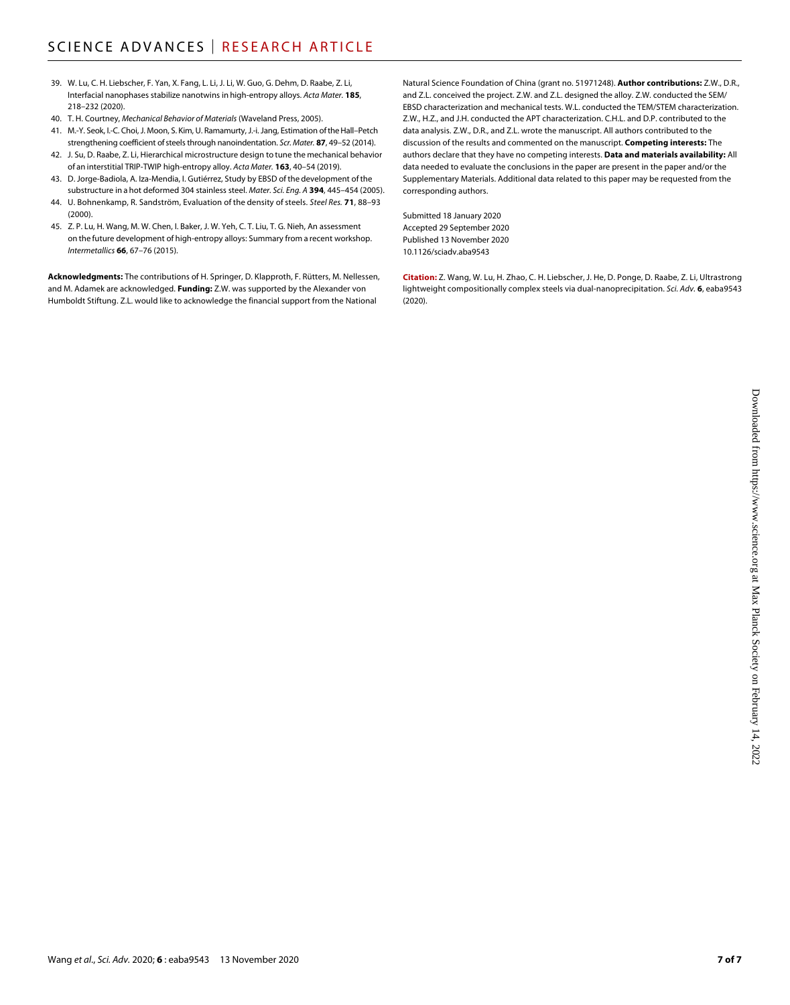- 39. W. Lu, C. H. Liebscher, F. Yan, X. Fang, L. Li, J. Li, W. Guo, G. Dehm, D. Raabe, Z. Li, Interfacial nanophases stabilize nanotwins in high-entropy alloys. *Acta Mater.* **185**, 218–232 (2020).
- 40. T. H. Courtney, *Mechanical Behavior of Materials* (Waveland Press, 2005).
- 41. M.-Y. Seok, I.-C. Choi, J. Moon, S. Kim, U. Ramamurty, J.-i. Jang, Estimation of the Hall–Petch strengthening coefficient of steels through nanoindentation. *Scr. Mater.* 87, 49-52 (2014).
- 42. J. Su, D. Raabe, Z. Li, Hierarchical microstructure design to tune the mechanical behavior of an interstitial TRIP-TWIP high-entropy alloy. *Acta Mater.* **163**, 40–54 (2019).
- 43. D. Jorge-Badiola, A. Iza-Mendia, I. Gutiérrez, Study by EBSD of the development of the substructure in a hot deformed 304 stainless steel. *Mater. Sci. Eng. A* **394**, 445–454 (2005).
- 44. U. Bohnenkamp, R. Sandström, Evaluation of the density of steels. *Steel Res.* 71, 88-93 (2000).
- 45. Z. P. Lu, H. Wang, M. W. Chen, I. Baker, J. W. Yeh, C. T. Liu, T. G. Nieh, An assessment on the future development of high-entropy alloys: Summary from a recent workshop. *Intermetallics* **66**, 67–76 (2015).

**Acknowledgments:** The contributions of H. Springer, D. Klapproth, F. Rütters, M. Nellessen, and M. Adamek are acknowledged. **Funding:** Z.W. was supported by the Alexander von Humboldt Stiftung. Z.L. would like to acknowledge the financial support from the National

Natural Science Foundation of China (grant no. 51971248). **Author contributions:** Z.W., D.R., and Z.L. conceived the project. Z.W. and Z.L. designed the alloy. Z.W. conducted the SEM/ EBSD characterization and mechanical tests. W.L. conducted the TEM/STEM characterization. Z.W., H.Z., and J.H. conducted the APT characterization. C.H.L. and D.P. contributed to the data analysis. Z.W., D.R., and Z.L. wrote the manuscript. All authors contributed to the discussion of the results and commented on the manuscript. **Competing interests:** The authors declare that they have no competing interests. **Data and materials availability:** All data needed to evaluate the conclusions in the paper are present in the paper and/or the Supplementary Materials. Additional data related to this paper may be requested from the corresponding authors.

Submitted 18 January 2020 Accepted 29 September 2020 Published 13 November 2020 10.1126/sciadv.aba9543

**Citation:** Z. Wang, W. Lu, H. Zhao, C. H. Liebscher, J. He, D. Ponge, D. Raabe, Z. Li, Ultrastrong lightweight compositionally complex steels via dual-nanoprecipitation. *Sci. Adv.* **6**, eaba9543  $(2020)$